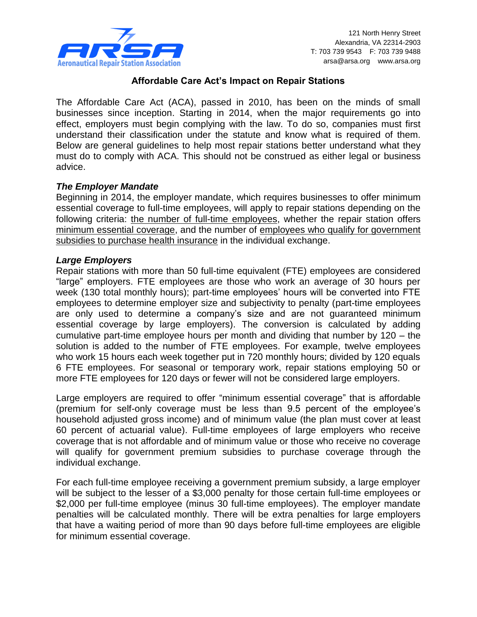

# **Affordable Care Act's Impact on Repair Stations**

The Affordable Care Act (ACA), passed in 2010, has been on the minds of small businesses since inception. Starting in 2014, when the major requirements go into effect, employers must begin complying with the law. To do so, companies must first understand their classification under the statute and know what is required of them. Below are general guidelines to help most repair stations better understand what they must do to comply with ACA. This should not be construed as either legal or business advice.

# *The Employer Mandate*

Beginning in 2014, the employer mandate, which requires businesses to offer minimum essential coverage to full-time employees, will apply to repair stations depending on the following criteria: the number of full-time employees, whether the repair station offers minimum essential coverage, and the number of employees who qualify for government subsidies to purchase health insurance in the individual exchange.

#### *Large Employers*

Repair stations with more than 50 full-time equivalent (FTE) employees are considered "large" employers. FTE employees are those who work an average of 30 hours per week (130 total monthly hours); part-time employees' hours will be converted into FTE employees to determine employer size and subjectivity to penalty (part-time employees are only used to determine a company's size and are not guaranteed minimum essential coverage by large employers). The conversion is calculated by adding cumulative part-time employee hours per month and dividing that number by 120 – the solution is added to the number of FTE employees. For example, twelve employees who work 15 hours each week together put in 720 monthly hours; divided by 120 equals 6 FTE employees. For seasonal or temporary work, repair stations employing 50 or more FTE employees for 120 days or fewer will not be considered large employers.

Large employers are required to offer "minimum essential coverage" that is affordable (premium for self-only coverage must be less than 9.5 percent of the employee's household adjusted gross income) and of minimum value (the plan must cover at least 60 percent of actuarial value). Full-time employees of large employers who receive coverage that is not affordable and of minimum value or those who receive no coverage will qualify for government premium subsidies to purchase coverage through the individual exchange.

For each full-time employee receiving a government premium subsidy, a large employer will be subject to the lesser of a \$3,000 penalty for those certain full-time employees or \$2,000 per full-time employee (minus 30 full-time employees). The employer mandate penalties will be calculated monthly. There will be extra penalties for large employers that have a waiting period of more than 90 days before full-time employees are eligible for minimum essential coverage.